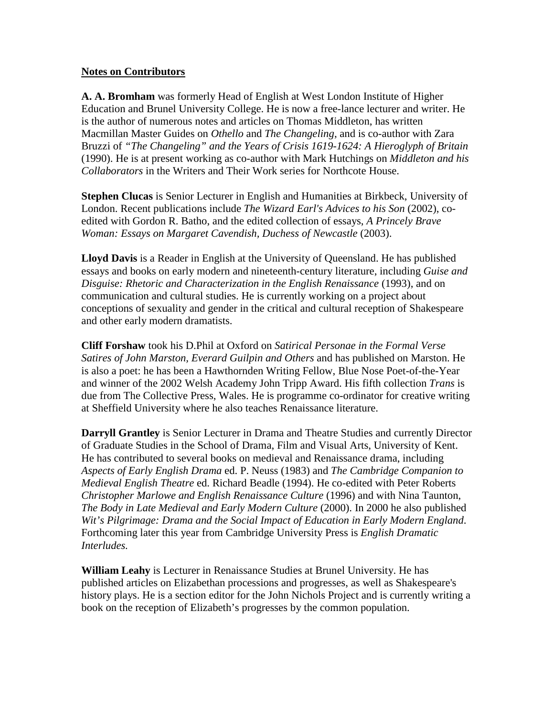## **Notes on Contributors**

**A. A. Bromham** was formerly Head of English at West London Institute of Higher Education and Brunel University College. He is now a free-lance lecturer and writer. He is the author of numerous notes and articles on Thomas Middleton, has written Macmillan Master Guides on *Othello* and *The Changeling*, and is co-author with Zara Bruzzi of *"The Changeling" and the Years of Crisis 1619-1624: A Hieroglyph of Britain*  (1990). He is at present working as co-author with Mark Hutchings on *Middleton and his Collaborators* in the Writers and Their Work series for Northcote House.

**Stephen Clucas** is Senior Lecturer in English and Humanities at Birkbeck, University of London. Recent publications include *The Wizard Earl's Advices to his Son* (2002), coedited with Gordon R. Batho, and the edited collection of essays, *A Princely Brave Woman: Essays on Margaret Cavendish, Duchess of Newcastle (2003).* 

**Lloyd Davis** is a Reader in English at the University of Queensland. He has published essays and books on early modern and nineteenth-century literature, including *Guise and Disguise: Rhetoric and Characterization in the English Renaissance* (1993), and on communication and cultural studies. He is currently working on a project about conceptions of sexuality and gender in the critical and cultural reception of Shakespeare and other early modern dramatists.

**Cliff Forshaw** took his D.Phil at Oxford on *Satirical Personae in the Formal Verse Satires of John Marston, Everard Guilpin and Others* and has published on Marston. He is also a poet: he has been a Hawthornden Writing Fellow, Blue Nose Poet-of-the-Year and winner of the 2002 Welsh Academy John Tripp Award. His fifth collection *Trans* is due from The Collective Press, Wales. He is programme co-ordinator for creative writing at Sheffield University where he also teaches Renaissance literature.

**Darryll Grantley** is Senior Lecturer in Drama and Theatre Studies and currently Director of Graduate Studies in the School of Drama, Film and Visual Arts, University of Kent. He has contributed to several books on medieval and Renaissance drama, including *Aspects of Early English Drama* ed. P. Neuss (1983) and *The Cambridge Companion to Medieval English Theatre* ed. Richard Beadle (1994). He co-edited with Peter Roberts *Christopher Marlowe and English Renaissance Culture* (1996) and with Nina Taunton, *The Body in Late Medieval and Early Modern Culture* (2000). In 2000 he also published *Wit's Pilgrimage: Drama and the Social Impact of Education in Early Modern England*. Forthcoming later this year from Cambridge University Press is *English Dramatic Interludes.* 

**William Leahy** is Lecturer in Renaissance Studies at Brunel University. He has published articles on Elizabethan processions and progresses, as well as Shakespeare's history plays. He is a section editor for the John Nichols Project and is currently writing a book on the reception of Elizabeth's progresses by the common population.